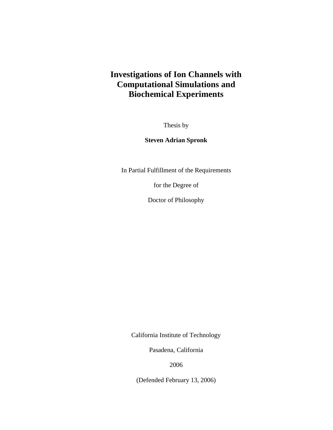# **Investigations of Ion Channels with Computational Simulations and Biochemical Experiments**

Thesis by

**Steven Adrian Spronk** 

In Partial Fulfillment of the Requirements

for the Degree of

Doctor of Philosophy

California Institute of Technology

Pasadena, California

2006

(Defended February 13, 2006)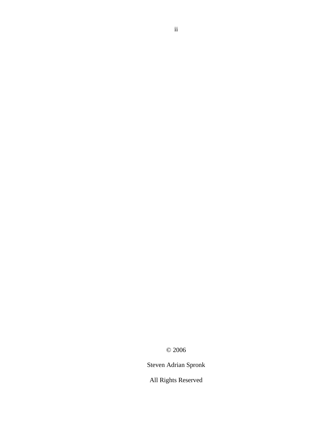© 2006

Steven Adrian Spronk

All Rights Reserved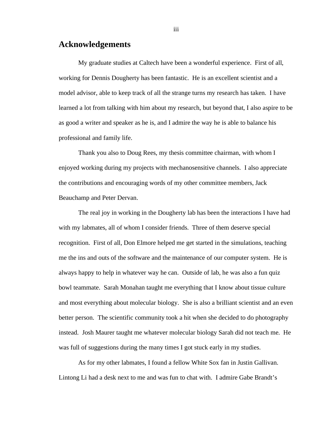#### **Acknowledgements**

My graduate studies at Caltech have been a wonderful experience. First of all, working for Dennis Dougherty has been fantastic. He is an excellent scientist and a model advisor, able to keep track of all the strange turns my research has taken. I have learned a lot from talking with him about my research, but beyond that, I also aspire to be as good a writer and speaker as he is, and I admire the way he is able to balance his professional and family life.

Thank you also to Doug Rees, my thesis committee chairman, with whom I enjoyed working during my projects with mechanosensitive channels. I also appreciate the contributions and encouraging words of my other committee members, Jack Beauchamp and Peter Dervan.

The real joy in working in the Dougherty lab has been the interactions I have had with my labmates, all of whom I consider friends. Three of them deserve special recognition. First of all, Don Elmore helped me get started in the simulations, teaching me the ins and outs of the software and the maintenance of our computer system. He is always happy to help in whatever way he can. Outside of lab, he was also a fun quiz bowl teammate. Sarah Monahan taught me everything that I know about tissue culture and most everything about molecular biology. She is also a brilliant scientist and an even better person. The scientific community took a hit when she decided to do photography instead. Josh Maurer taught me whatever molecular biology Sarah did not teach me. He was full of suggestions during the many times I got stuck early in my studies.

As for my other labmates, I found a fellow White Sox fan in Justin Gallivan. Lintong Li had a desk next to me and was fun to chat with. I admire Gabe Brandt's

iii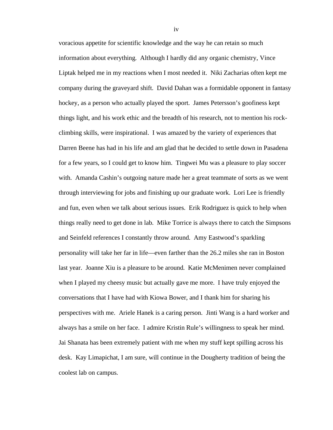voracious appetite for scientific knowledge and the way he can retain so much information about everything. Although I hardly did any organic chemistry, Vince Liptak helped me in my reactions when I most needed it. Niki Zacharias often kept me company during the graveyard shift. David Dahan was a formidable opponent in fantasy hockey, as a person who actually played the sport. James Petersson's goofiness kept things light, and his work ethic and the breadth of his research, not to mention his rockclimbing skills, were inspirational. I was amazed by the variety of experiences that Darren Beene has had in his life and am glad that he decided to settle down in Pasadena for a few years, so I could get to know him. Tingwei Mu was a pleasure to play soccer with. Amanda Cashin's outgoing nature made her a great teammate of sorts as we went through interviewing for jobs and finishing up our graduate work. Lori Lee is friendly and fun, even when we talk about serious issues. Erik Rodriguez is quick to help when things really need to get done in lab. Mike Torrice is always there to catch the Simpsons and Seinfeld references I constantly throw around. Amy Eastwood's sparkling personality will take her far in life—even farther than the 26.2 miles she ran in Boston last year. Joanne Xiu is a pleasure to be around. Katie McMenimen never complained when I played my cheesy music but actually gave me more. I have truly enjoyed the conversations that I have had with Kiowa Bower, and I thank him for sharing his perspectives with me. Ariele Hanek is a caring person. Jinti Wang is a hard worker and always has a smile on her face. I admire Kristin Rule's willingness to speak her mind. Jai Shanata has been extremely patient with me when my stuff kept spilling across his desk. Kay Limapichat, I am sure, will continue in the Dougherty tradition of being the coolest lab on campus.

iv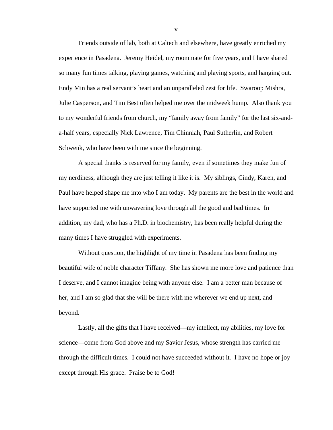Friends outside of lab, both at Caltech and elsewhere, have greatly enriched my experience in Pasadena. Jeremy Heidel, my roommate for five years, and I have shared so many fun times talking, playing games, watching and playing sports, and hanging out. Endy Min has a real servant's heart and an unparalleled zest for life. Swaroop Mishra, Julie Casperson, and Tim Best often helped me over the midweek hump. Also thank you to my wonderful friends from church, my "family away from family" for the last six-anda-half years, especially Nick Lawrence, Tim Chinniah, Paul Sutherlin, and Robert Schwenk, who have been with me since the beginning.

A special thanks is reserved for my family, even if sometimes they make fun of my nerdiness, although they are just telling it like it is. My siblings, Cindy, Karen, and Paul have helped shape me into who I am today. My parents are the best in the world and have supported me with unwavering love through all the good and bad times. In addition, my dad, who has a Ph.D. in biochemistry, has been really helpful during the many times I have struggled with experiments.

Without question, the highlight of my time in Pasadena has been finding my beautiful wife of noble character Tiffany. She has shown me more love and patience than I deserve, and I cannot imagine being with anyone else. I am a better man because of her, and I am so glad that she will be there with me wherever we end up next, and beyond.

Lastly, all the gifts that I have received—my intellect, my abilities, my love for science—come from God above and my Savior Jesus, whose strength has carried me through the difficult times. I could not have succeeded without it. I have no hope or joy except through His grace. Praise be to God!

v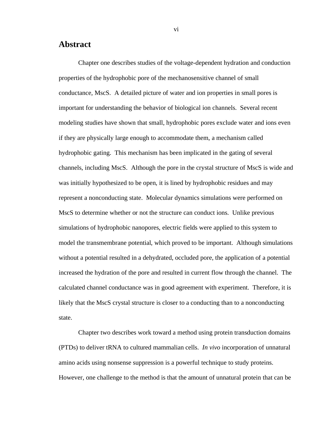#### **Abstract**

Chapter one describes studies of the voltage-dependent hydration and conduction properties of the hydrophobic pore of the mechanosensitive channel of small conductance, MscS. A detailed picture of water and ion properties in small pores is important for understanding the behavior of biological ion channels. Several recent modeling studies have shown that small, hydrophobic pores exclude water and ions even if they are physically large enough to accommodate them, a mechanism called hydrophobic gating. This mechanism has been implicated in the gating of several channels, including MscS. Although the pore in the crystal structure of MscS is wide and was initially hypothesized to be open, it is lined by hydrophobic residues and may represent a nonconducting state. Molecular dynamics simulations were performed on MscS to determine whether or not the structure can conduct ions. Unlike previous simulations of hydrophobic nanopores, electric fields were applied to this system to model the transmembrane potential, which proved to be important. Although simulations without a potential resulted in a dehydrated, occluded pore, the application of a potential increased the hydration of the pore and resulted in current flow through the channel. The calculated channel conductance was in good agreement with experiment. Therefore, it is likely that the MscS crystal structure is closer to a conducting than to a nonconducting state.

Chapter two describes work toward a method using protein transduction domains (PTDs) to deliver tRNA to cultured mammalian cells. *In vivo* incorporation of unnatural amino acids using nonsense suppression is a powerful technique to study proteins. However, one challenge to the method is that the amount of unnatural protein that can be

vi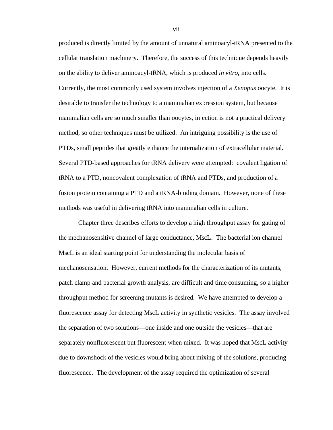produced is directly limited by the amount of unnatural aminoacyl-tRNA presented to the cellular translation machinery. Therefore, the success of this technique depends heavily on the ability to deliver aminoacyl-tRNA, which is produced *in vitro*, into cells. Currently, the most commonly used system involves injection of a *Xenopus* oocyte. It is desirable to transfer the technology to a mammalian expression system, but because mammalian cells are so much smaller than oocytes, injection is not a practical delivery method, so other techniques must be utilized. An intriguing possibility is the use of PTDs, small peptides that greatly enhance the internalization of extracellular material. Several PTD-based approaches for tRNA delivery were attempted: covalent ligation of tRNA to a PTD, noncovalent complexation of tRNA and PTDs, and production of a fusion protein containing a PTD and a tRNA-binding domain. However, none of these methods was useful in delivering tRNA into mammalian cells in culture.

Chapter three describes efforts to develop a high throughput assay for gating of the mechanosensitive channel of large conductance, MscL. The bacterial ion channel MscL is an ideal starting point for understanding the molecular basis of mechanosensation. However, current methods for the characterization of its mutants, patch clamp and bacterial growth analysis, are difficult and time consuming, so a higher throughput method for screening mutants is desired. We have attempted to develop a fluorescence assay for detecting MscL activity in synthetic vesicles. The assay involved the separation of two solutions—one inside and one outside the vesicles—that are separately nonfluorescent but fluorescent when mixed. It was hoped that MscL activity due to downshock of the vesicles would bring about mixing of the solutions, producing fluorescence. The development of the assay required the optimization of several

vii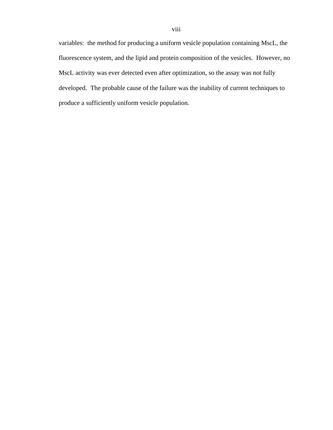variables: the method for producing a uniform vesicle population containing MscL, the fluorescence system, and the lipid and protein composition of the vesicles. However, no MscL activity was ever detected even after optimization, so the assay was not fully developed. The probable cause of the failure was the inability of current techniques to produce a sufficiently uniform vesicle population.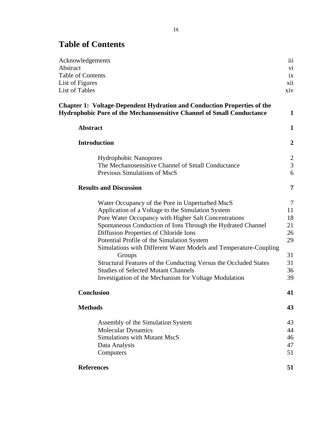# **Table of Contents**

| iii            |
|----------------|
| vi             |
| ix             |
| xii            |
| xiv            |
| 1              |
| $\mathbf{1}$   |
| $\overline{2}$ |
| $\overline{2}$ |
| $\overline{3}$ |
| 6              |
| 7              |
| $\tau$         |
| 11             |
| 18             |
| 21             |
| 26             |
| 29             |
|                |
| 31<br>31       |
| 36             |
| 39             |
| 41             |
| 43             |
| 43             |
| 44             |
| 46             |
| 47             |
| 51             |
| 51             |
|                |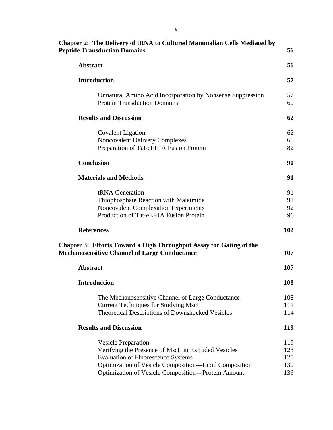| <b>Peptide Transduction Domains</b>                                                                                                                                                                                                                                                                                                                                                                                                                                                                                                                                                                                                                                                                                                                                                                                                                                                                                                       | 56                       |
|-------------------------------------------------------------------------------------------------------------------------------------------------------------------------------------------------------------------------------------------------------------------------------------------------------------------------------------------------------------------------------------------------------------------------------------------------------------------------------------------------------------------------------------------------------------------------------------------------------------------------------------------------------------------------------------------------------------------------------------------------------------------------------------------------------------------------------------------------------------------------------------------------------------------------------------------|--------------------------|
| <b>Abstract</b>                                                                                                                                                                                                                                                                                                                                                                                                                                                                                                                                                                                                                                                                                                                                                                                                                                                                                                                           | 56                       |
| <b>Chapter 2: The Delivery of tRNA to Cultured Mammalian Cells Mediated by</b><br><b>Introduction</b><br>Unnatural Amino Acid Incorporation by Nonsense Suppression<br><b>Protein Transduction Domains</b><br><b>Results and Discussion</b><br><b>Covalent Ligation</b><br><b>Noncovalent Delivery Complexes</b><br>Preparation of Tat-eEF1A Fusion Protein<br><b>Conclusion</b><br><b>Materials and Methods</b><br>tRNA Generation<br>Thiophosphate Reaction with Maleimide<br><b>Noncovalent Complexation Experiments</b><br>Production of Tat-eEF1A Fusion Protein<br><b>References</b><br><b>Chapter 3: Efforts Toward a High Throughput Assay for Gating of the</b><br><b>Abstract</b><br><b>Introduction</b><br>The Mechanosensitive Channel of Large Conductance<br><b>Current Techniques for Studying MscL</b><br>Theoretical Descriptions of Downshocked Vesicles<br><b>Results and Discussion</b><br><b>Vesicle Preparation</b> | 57                       |
|                                                                                                                                                                                                                                                                                                                                                                                                                                                                                                                                                                                                                                                                                                                                                                                                                                                                                                                                           | 57<br>60                 |
|                                                                                                                                                                                                                                                                                                                                                                                                                                                                                                                                                                                                                                                                                                                                                                                                                                                                                                                                           | 62                       |
|                                                                                                                                                                                                                                                                                                                                                                                                                                                                                                                                                                                                                                                                                                                                                                                                                                                                                                                                           | 62<br>65<br>82           |
|                                                                                                                                                                                                                                                                                                                                                                                                                                                                                                                                                                                                                                                                                                                                                                                                                                                                                                                                           | 90                       |
|                                                                                                                                                                                                                                                                                                                                                                                                                                                                                                                                                                                                                                                                                                                                                                                                                                                                                                                                           | 91                       |
|                                                                                                                                                                                                                                                                                                                                                                                                                                                                                                                                                                                                                                                                                                                                                                                                                                                                                                                                           | 91<br>91<br>92<br>96     |
|                                                                                                                                                                                                                                                                                                                                                                                                                                                                                                                                                                                                                                                                                                                                                                                                                                                                                                                                           | 102                      |
| <b>Mechanosensitive Channel of Large Conductance</b>                                                                                                                                                                                                                                                                                                                                                                                                                                                                                                                                                                                                                                                                                                                                                                                                                                                                                      | 107                      |
|                                                                                                                                                                                                                                                                                                                                                                                                                                                                                                                                                                                                                                                                                                                                                                                                                                                                                                                                           | 107                      |
|                                                                                                                                                                                                                                                                                                                                                                                                                                                                                                                                                                                                                                                                                                                                                                                                                                                                                                                                           | 108                      |
|                                                                                                                                                                                                                                                                                                                                                                                                                                                                                                                                                                                                                                                                                                                                                                                                                                                                                                                                           | 108<br>111<br>114        |
|                                                                                                                                                                                                                                                                                                                                                                                                                                                                                                                                                                                                                                                                                                                                                                                                                                                                                                                                           | <b>119</b>               |
| Verifying the Presence of MscL in Extruded Vesicles<br><b>Evaluation of Fluorescence Systems</b><br>Optimization of Vesicle Composition-Lipid Composition                                                                                                                                                                                                                                                                                                                                                                                                                                                                                                                                                                                                                                                                                                                                                                                 | 119<br>123<br>128<br>130 |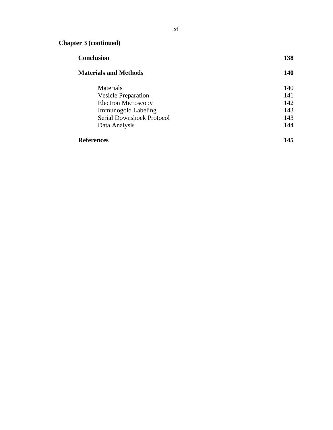# **Chapter 3 (continued)**

| <b>Materials and Methods</b>     | <b>140</b> |
|----------------------------------|------------|
| <b>Materials</b>                 | 140        |
| <b>Vesicle Preparation</b>       | 141        |
| <b>Electron Microscopy</b>       | 142        |
| <b>Immunogold Labeling</b>       | 143        |
| <b>Serial Downshock Protocol</b> | 143        |
| Data Analysis                    | 144        |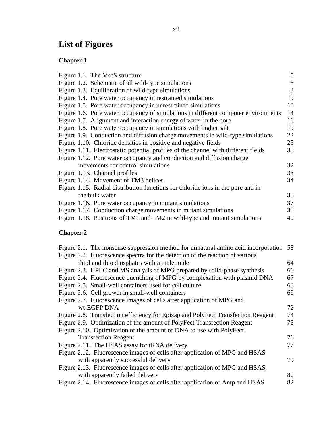# **List of Figures**

#### **Chapter 1**

| Figure 1.1. The MscS structure                                                     | 5  |
|------------------------------------------------------------------------------------|----|
| Figure 1.2. Schematic of all wild-type simulations                                 | 8  |
| Figure 1.3. Equilibration of wild-type simulations                                 | 8  |
| Figure 1.4. Pore water occupancy in restrained simulations                         | 9  |
| Figure 1.5. Pore water occupancy in unrestrained simulations                       | 10 |
| Figure 1.6. Pore water occupancy of simulations in different computer environments | 14 |
| Figure 1.7. Alignment and interaction energy of water in the pore                  | 16 |
| Figure 1.8. Pore water occupancy in simulations with higher salt                   | 19 |
| Figure 1.9. Conduction and diffusion charge movements in wild-type simulations     | 22 |
| Figure 1.10. Chloride densities in positive and negative fields                    | 25 |
| Figure 1.11. Electrostatic potential profiles of the channel with different fields | 30 |
| Figure 1.12. Pore water occupancy and conduction and diffusion charge              |    |
| movements for control simulations                                                  | 32 |
| Figure 1.13. Channel profiles                                                      | 33 |
| Figure 1.14. Movement of TM3 helices                                               | 34 |
| Figure 1.15. Radial distribution functions for chloride ions in the pore and in    |    |
| the bulk water                                                                     | 35 |
| Figure 1.16. Pore water occupancy in mutant simulations                            | 37 |
| Figure 1.17. Conduction charge movements in mutant simulations                     | 38 |
| Figure 1.18. Positions of TM1 and TM2 in wild-type and mutant simulations          | 40 |
|                                                                                    |    |

#### **Chapter 2**

| Figure 2.1. The nonsense suppression method for unnatural amino acid incorporation 58 |     |
|---------------------------------------------------------------------------------------|-----|
| Figure 2.2. Fluorescence spectra for the detection of the reaction of various         |     |
| thiol and thiophosphates with a maleimide                                             | 64  |
| Figure 2.3. HPLC and MS analysis of MPG prepared by solid-phase synthesis             | 66  |
| Figure 2.4. Fluorescence quenching of MPG by complexation with plasmid DNA            | 67  |
| Figure 2.5. Small-well containers used for cell culture                               | 68  |
| Figure 2.6. Cell growth in small-well containers                                      | 69  |
| Figure 2.7. Fluorescence images of cells after application of MPG and                 |     |
| wt-EGFP DNA                                                                           | 72  |
| Figure 2.8. Transfection efficiency for Epizap and PolyFect Transfection Reagent      | 74  |
| Figure 2.9. Optimization of the amount of PolyFect Transfection Reagent               | 75  |
| Figure 2.10. Optimization of the amount of DNA to use with PolyFect                   |     |
| <b>Transfection Reagent</b>                                                           | 76  |
| Figure 2.11. The HSAS assay for tRNA delivery                                         | 77  |
| Figure 2.12. Fluorescence images of cells after application of MPG and HSAS           |     |
| with apparently successful delivery                                                   | 79. |
| Figure 2.13. Fluorescence images of cells after application of MPG and HSAS,          |     |
| with apparently failed delivery                                                       | 80  |
| Figure 2.14. Fluorescence images of cells after application of Antp and HSAS          | 82  |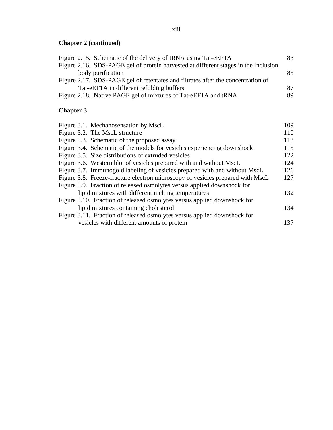#### **Chapter 2 (continued)**

| Figure 2.15. Schematic of the delivery of tRNA using Tat-eEF1A                      | 83  |
|-------------------------------------------------------------------------------------|-----|
| Figure 2.16. SDS-PAGE gel of protein harvested at different stages in the inclusion |     |
| body purification                                                                   | 85  |
| Figure 2.17. SDS-PAGE gel of retentates and filtrates after the concentration of    |     |
| Tat-eEF1A in different refolding buffers                                            | 87  |
| Figure 2.18. Native PAGE gel of mixtures of Tat-eEF1A and tRNA                      | 89. |

# **Chapter 3**

|  | Figure 3.1. Mechanosen sation by MscL                                          | 109 |
|--|--------------------------------------------------------------------------------|-----|
|  | Figure 3.2. The MscL structure                                                 | 110 |
|  | Figure 3.3. Schematic of the proposed assay                                    | 113 |
|  | Figure 3.4. Schematic of the models for vesicles experiencing downshock        | 115 |
|  | Figure 3.5. Size distributions of extruded vesicles                            | 122 |
|  | Figure 3.6. Western blot of vesicles prepared with and without MscL            | 124 |
|  | Figure 3.7. Immunogold labeling of vesicles prepared with and without MscL     | 126 |
|  | Figure 3.8. Freeze-fracture electron microscopy of vesicles prepared with MscL | 127 |
|  | Figure 3.9. Fraction of released osmolytes versus applied downshock for        |     |
|  | lipid mixtures with different melting temperatures                             | 132 |
|  | Figure 3.10. Fraction of released osmolytes versus applied downshock for       |     |
|  | lipid mixtures containing cholesterol                                          | 134 |
|  | Figure 3.11. Fraction of released osmolytes versus applied downshock for       |     |
|  | vesicles with different amounts of protein                                     | 137 |